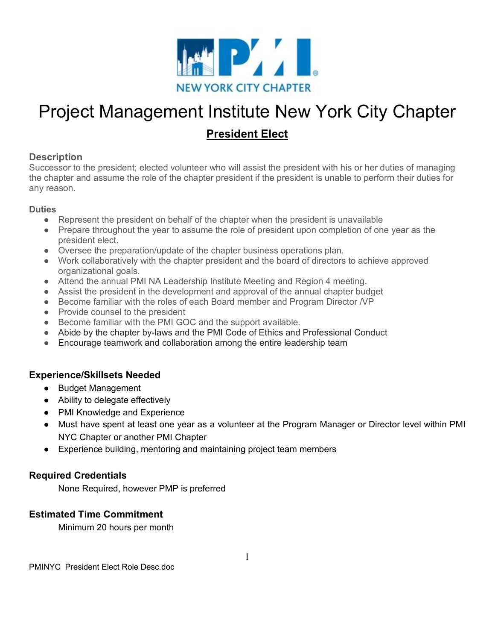

# Project Management Institute New York City Chapter

### **President Elect**

#### **Description**

Successor to the president; elected volunteer who will assist the president with his or her duties of managing the chapter and assume the role of the chapter president if the president is unable to perform their duties for any reason.

#### **Duties**

- Represent the president on behalf of the chapter when the president is unavailable
- Prepare throughout the year to assume the role of president upon completion of one year as the president elect.
- Oversee the preparation/update of the chapter business operations plan.
- Work collaboratively with the chapter president and the board of directors to achieve approved organizational goals.
- Attend the annual PMI NA Leadership Institute Meeting and Region 4 meeting.
- Assist the president in the development and approval of the annual chapter budget
- Become familiar with the roles of each Board member and Program Director /VP
- Provide counsel to the president
- Become familiar with the PMI GOC and the support available.
- Abide by the chapter by-laws and the PMI Code of Ethics and Professional Conduct
- Encourage teamwork and collaboration among the entire leadership team

#### **Experience/Skillsets Needed**

- Budget Management
- Ability to delegate effectively
- PMI Knowledge and Experience
- Must have spent at least one year as a volunteer at the Program Manager or Director level within PMI NYC Chapter or another PMI Chapter
- Experience building, mentoring and maintaining project team members

#### **Required Credentials**

None Required, however PMP is preferred

#### **Estimated Time Commitment**

Minimum 20 hours per month